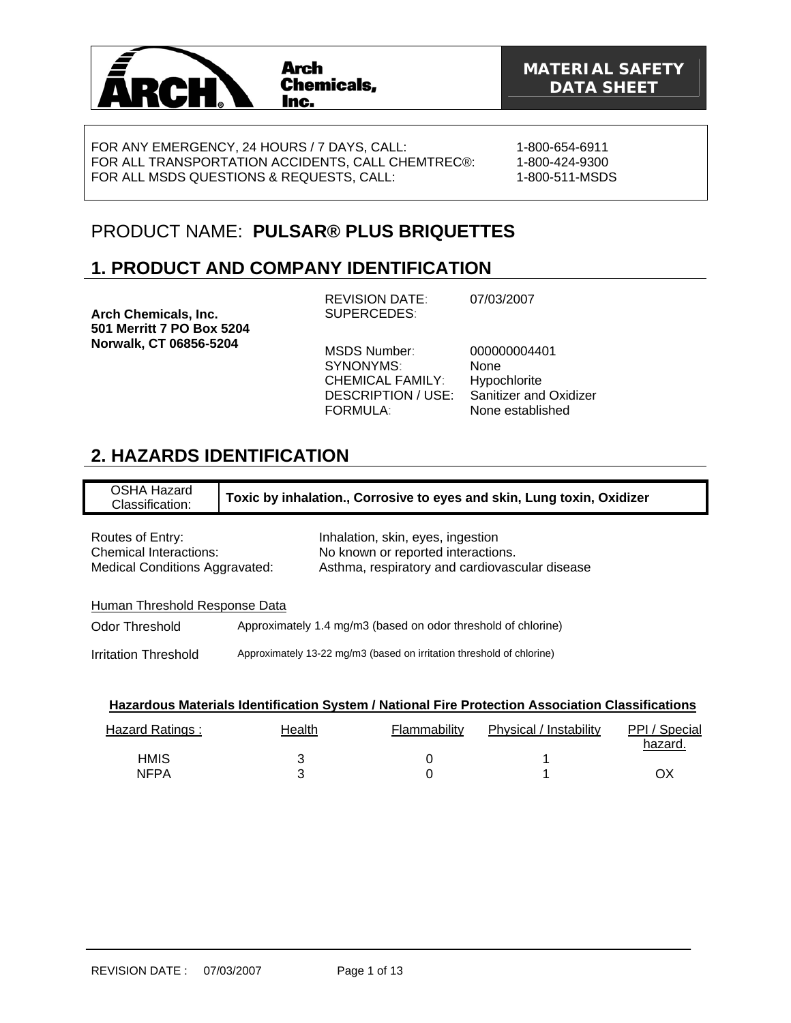

FOR ANY EMERGENCY, 24 HOURS / 7 DAYS, CALL: FOR ALL TRANSPORTATION ACCIDENTS, CALL CHEMTREC®: FOR ALL MSDS QUESTIONS & REQUESTS, CALL:

1-800-654-6911 1-800-424-9300 1-800-511-MSDS

# PRODUCT NAME: **PULSAR® PLUS BRIQUETTES**

# **1. PRODUCT AND COMPANY IDENTIFICATION**

**Arch Chemicals, Inc. 501 Merritt 7 PO Box 5204 Norwalk, CT 06856-5204** 

REVISION DATE: 07/03/2007 SUPERCEDES:

MSDS Number: 000000004401 SYNONYMS: None CHEMICAL FAMILY: Hypochlorite FORMULA: None established

DESCRIPTION / USE: Sanitizer and Oxidizer

# **2. HAZARDS IDENTIFICATION**

OSHA Hazard Classification: **Toxic by inhalation., Corrosive to eyes and skin, Lung toxin, Oxidizer**

| Routes of Entry:               | Inhalation, skin, eyes, ingestion              |
|--------------------------------|------------------------------------------------|
| Chemical Interactions:         | No known or reported interactions.             |
| Medical Conditions Aggravated: | Asthma, respiratory and cardiovascular disease |

### Human Threshold Response Data

Odor Threshold Approximately 1.4 mg/m3 (based on odor threshold of chlorine)

Irritation Threshold Approximately 13-22 mg/m3 (based on irritation threshold of chlorine)

| Hazardous Materials Identification System / National Fire Protection Association Classifications |  |
|--------------------------------------------------------------------------------------------------|--|
|                                                                                                  |  |

| Hazard Ratings: | Health | Flammability | Physical / Instability | PPI / Special<br>hazard. |
|-----------------|--------|--------------|------------------------|--------------------------|
| HMIS            |        |              |                        |                          |
| <b>NFPA</b>     |        |              |                        | ОX                       |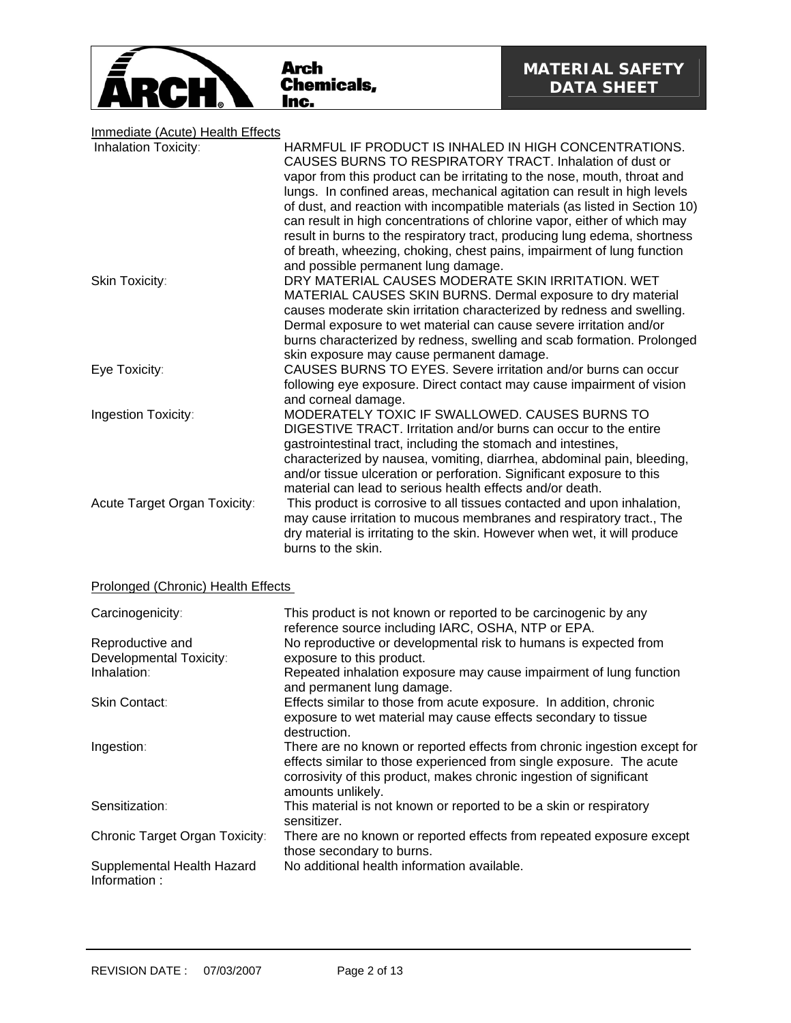

# Immediate (Acute) Health Effects

| Inhalation Toxicity:         | HARMFUL IF PRODUCT IS INHALED IN HIGH CONCENTRATIONS.                       |
|------------------------------|-----------------------------------------------------------------------------|
|                              | CAUSES BURNS TO RESPIRATORY TRACT. Inhalation of dust or                    |
|                              | vapor from this product can be irritating to the nose, mouth, throat and    |
|                              | lungs. In confined areas, mechanical agitation can result in high levels    |
|                              | of dust, and reaction with incompatible materials (as listed in Section 10) |
|                              | can result in high concentrations of chlorine vapor, either of which may    |
|                              | result in burns to the respiratory tract, producing lung edema, shortness   |
|                              | of breath, wheezing, choking, chest pains, impairment of lung function      |
|                              | and possible permanent lung damage.                                         |
| Skin Toxicity:               | DRY MATERIAL CAUSES MODERATE SKIN IRRITATION. WET                           |
|                              | MATERIAL CAUSES SKIN BURNS. Dermal exposure to dry material                 |
|                              | causes moderate skin irritation characterized by redness and swelling.      |
|                              | Dermal exposure to wet material can cause severe irritation and/or          |
|                              | burns characterized by redness, swelling and scab formation. Prolonged      |
|                              | skin exposure may cause permanent damage.                                   |
| Eye Toxicity:                | CAUSES BURNS TO EYES. Severe irritation and/or burns can occur              |
|                              | following eye exposure. Direct contact may cause impairment of vision       |
|                              | and corneal damage.                                                         |
| Ingestion Toxicity:          | MODERATELY TOXIC IF SWALLOWED. CAUSES BURNS TO                              |
|                              | DIGESTIVE TRACT. Irritation and/or burns can occur to the entire            |
|                              | gastrointestinal tract, including the stomach and intestines,               |
|                              | characterized by nausea, vomiting, diarrhea, abdominal pain, bleeding,      |
|                              | and/or tissue ulceration or perforation. Significant exposure to this       |
|                              | material can lead to serious health effects and/or death.                   |
| Acute Target Organ Toxicity: | This product is corrosive to all tissues contacted and upon inhalation,     |
|                              | may cause irritation to mucous membranes and respiratory tract., The        |
|                              | dry material is irritating to the skin. However when wet, it will produce   |
|                              | burns to the skin.                                                          |

## Prolonged (Chronic) Health Effects

| Carcinogenicity:                           | This product is not known or reported to be carcinogenic by any<br>reference source including IARC, OSHA, NTP or EPA.                                                                                                                        |
|--------------------------------------------|----------------------------------------------------------------------------------------------------------------------------------------------------------------------------------------------------------------------------------------------|
| Reproductive and                           | No reproductive or developmental risk to humans is expected from                                                                                                                                                                             |
| Developmental Toxicity:                    | exposure to this product.                                                                                                                                                                                                                    |
| Inhalation:                                | Repeated inhalation exposure may cause impairment of lung function<br>and permanent lung damage.                                                                                                                                             |
| <b>Skin Contact:</b>                       | Effects similar to those from acute exposure. In addition, chronic<br>exposure to wet material may cause effects secondary to tissue<br>destruction.                                                                                         |
| Ingestion:                                 | There are no known or reported effects from chronic ingestion except for<br>effects similar to those experienced from single exposure. The acute<br>corrosivity of this product, makes chronic ingestion of significant<br>amounts unlikely. |
| Sensitization:                             | This material is not known or reported to be a skin or respiratory<br>sensitizer.                                                                                                                                                            |
| Chronic Target Organ Toxicity:             | There are no known or reported effects from repeated exposure except<br>those secondary to burns.                                                                                                                                            |
| Supplemental Health Hazard<br>Information: | No additional health information available.                                                                                                                                                                                                  |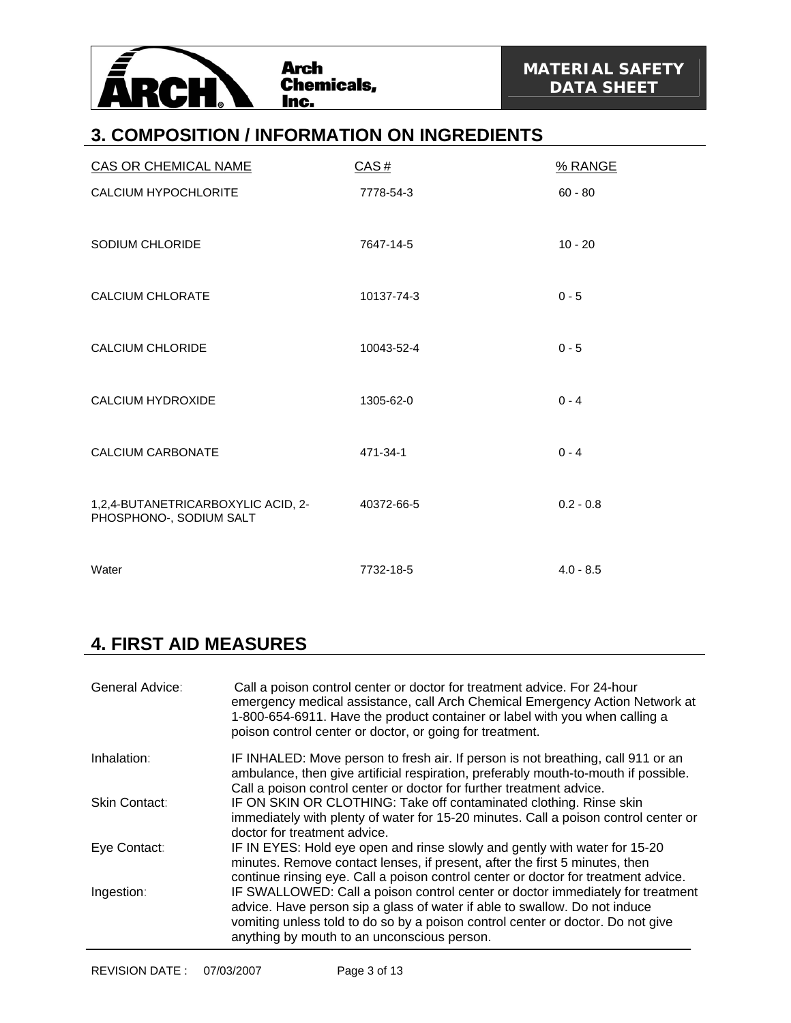

## **3. COMPOSITION / INFORMATION ON INGREDIENTS**

| <b>CAS OR CHEMICAL NAME</b>                                   | CAS#       | % RANGE     |
|---------------------------------------------------------------|------------|-------------|
| CALCIUM HYPOCHLORITE                                          | 7778-54-3  | $60 - 80$   |
| SODIUM CHLORIDE                                               | 7647-14-5  | $10 - 20$   |
| <b>CALCIUM CHLORATE</b>                                       | 10137-74-3 | $0 - 5$     |
| <b>CALCIUM CHLORIDE</b>                                       | 10043-52-4 | $0 - 5$     |
| <b>CALCIUM HYDROXIDE</b>                                      | 1305-62-0  | $0 - 4$     |
| <b>CALCIUM CARBONATE</b>                                      | 471-34-1   | $0 - 4$     |
| 1,2,4-BUTANETRICARBOXYLIC ACID, 2-<br>PHOSPHONO-, SODIUM SALT | 40372-66-5 | $0.2 - 0.8$ |
| Water                                                         | 7732-18-5  | $4.0 - 8.5$ |

## **4. FIRST AID MEASURES**

| General Advice: | Call a poison control center or doctor for treatment advice. For 24-hour<br>emergency medical assistance, call Arch Chemical Emergency Action Network at<br>1-800-654-6911. Have the product container or label with you when calling a<br>poison control center or doctor, or going for treatment. |
|-----------------|-----------------------------------------------------------------------------------------------------------------------------------------------------------------------------------------------------------------------------------------------------------------------------------------------------|
| Inhalation:     | IF INHALED: Move person to fresh air. If person is not breathing, call 911 or an<br>ambulance, then give artificial respiration, preferably mouth-to-mouth if possible.<br>Call a poison control center or doctor for further treatment advice.                                                     |
| Skin Contact:   | IF ON SKIN OR CLOTHING: Take off contaminated clothing. Rinse skin<br>immediately with plenty of water for 15-20 minutes. Call a poison control center or<br>doctor for treatment advice.                                                                                                           |
| Eye Contact:    | IF IN EYES: Hold eye open and rinse slowly and gently with water for 15-20<br>minutes. Remove contact lenses, if present, after the first 5 minutes, then<br>continue rinsing eye. Call a poison control center or doctor for treatment advice.                                                     |
| Ingestion:      | IF SWALLOWED: Call a poison control center or doctor immediately for treatment<br>advice. Have person sip a glass of water if able to swallow. Do not induce<br>vomiting unless told to do so by a poison control center or doctor. Do not give<br>anything by mouth to an unconscious person.      |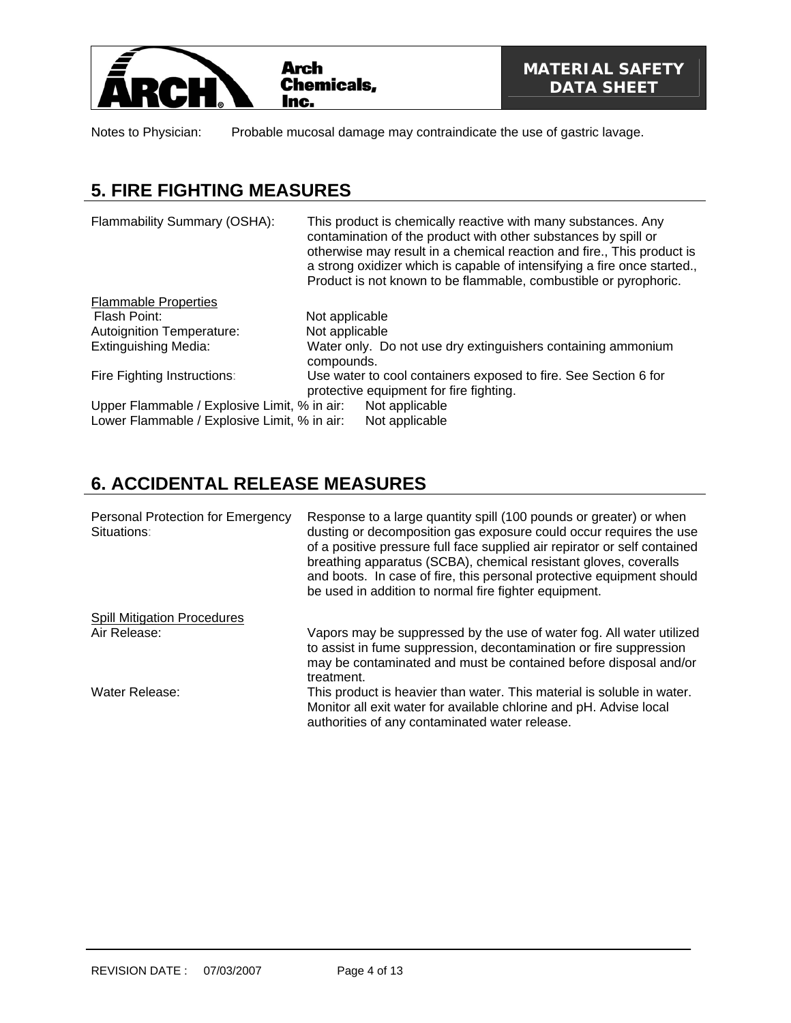

Notes to Physician: Probable mucosal damage may contraindicate the use of gastric lavage.

# **5. FIRE FIGHTING MEASURES**

| Flammability Summary (OSHA):                 | This product is chemically reactive with many substances. Any<br>contamination of the product with other substances by spill or<br>otherwise may result in a chemical reaction and fire., This product is<br>a strong oxidizer which is capable of intensifying a fire once started.,<br>Product is not known to be flammable, combustible or pyrophoric. |
|----------------------------------------------|-----------------------------------------------------------------------------------------------------------------------------------------------------------------------------------------------------------------------------------------------------------------------------------------------------------------------------------------------------------|
| <b>Flammable Properties</b>                  |                                                                                                                                                                                                                                                                                                                                                           |
| Flash Point:                                 | Not applicable                                                                                                                                                                                                                                                                                                                                            |
| <b>Autoignition Temperature:</b>             | Not applicable                                                                                                                                                                                                                                                                                                                                            |
| <b>Extinguishing Media:</b>                  | Water only. Do not use dry extinguishers containing ammonium<br>compounds.                                                                                                                                                                                                                                                                                |
| Fire Fighting Instructions:                  | Use water to cool containers exposed to fire. See Section 6 for<br>protective equipment for fire fighting.                                                                                                                                                                                                                                                |
| Upper Flammable / Explosive Limit, % in air: | Not applicable                                                                                                                                                                                                                                                                                                                                            |
| Lower Flammable / Explosive Limit, % in air: | Not applicable                                                                                                                                                                                                                                                                                                                                            |

# **6. ACCIDENTAL RELEASE MEASURES**

| Personal Protection for Emergency<br>Situations: | Response to a large quantity spill (100 pounds or greater) or when<br>dusting or decomposition gas exposure could occur requires the use<br>of a positive pressure full face supplied air repirator or self contained<br>breathing apparatus (SCBA), chemical resistant gloves, coveralls<br>and boots. In case of fire, this personal protective equipment should<br>be used in addition to normal fire fighter equipment. |
|--------------------------------------------------|-----------------------------------------------------------------------------------------------------------------------------------------------------------------------------------------------------------------------------------------------------------------------------------------------------------------------------------------------------------------------------------------------------------------------------|
| <b>Spill Mitigation Procedures</b>               |                                                                                                                                                                                                                                                                                                                                                                                                                             |
| Air Release:                                     | Vapors may be suppressed by the use of water fog. All water utilized<br>to assist in fume suppression, decontamination or fire suppression<br>may be contaminated and must be contained before disposal and/or<br>treatment.                                                                                                                                                                                                |
| Water Release:                                   | This product is heavier than water. This material is soluble in water.<br>Monitor all exit water for available chlorine and pH. Advise local<br>authorities of any contaminated water release.                                                                                                                                                                                                                              |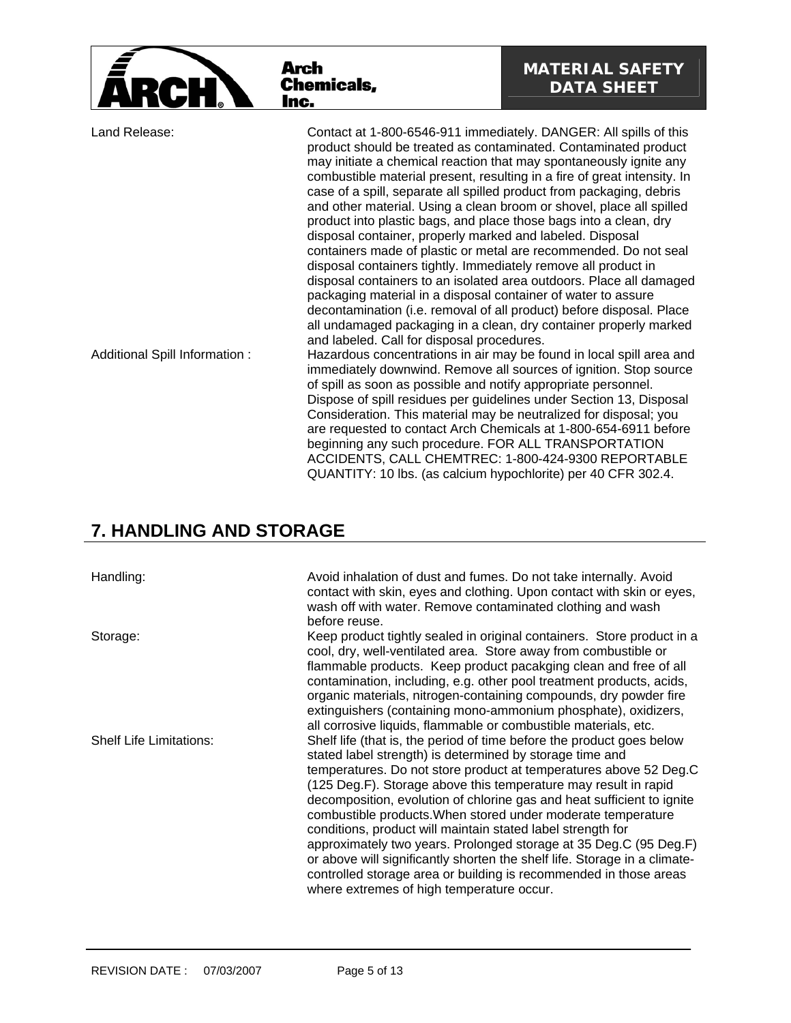|                                | Arch<br><b>Chemicals,</b><br>Inc.                                                                                                                                                                                                                                                                                                                                                                                                                                                                                                                                                                                                                                                                                                                                                                                                                                                                                                                                                                   | <b>MATERIAL SAFETY</b><br><b>DATA SHEET</b>                          |
|--------------------------------|-----------------------------------------------------------------------------------------------------------------------------------------------------------------------------------------------------------------------------------------------------------------------------------------------------------------------------------------------------------------------------------------------------------------------------------------------------------------------------------------------------------------------------------------------------------------------------------------------------------------------------------------------------------------------------------------------------------------------------------------------------------------------------------------------------------------------------------------------------------------------------------------------------------------------------------------------------------------------------------------------------|----------------------------------------------------------------------|
| Land Release:                  | Contact at 1-800-6546-911 immediately. DANGER: All spills of this<br>product should be treated as contaminated. Contaminated product<br>may initiate a chemical reaction that may spontaneously ignite any<br>combustible material present, resulting in a fire of great intensity. In<br>case of a spill, separate all spilled product from packaging, debris<br>and other material. Using a clean broom or shovel, place all spilled<br>product into plastic bags, and place those bags into a clean, dry<br>disposal container, properly marked and labeled. Disposal<br>containers made of plastic or metal are recommended. Do not seal<br>disposal containers tightly. Immediately remove all product in<br>disposal containers to an isolated area outdoors. Place all damaged<br>packaging material in a disposal container of water to assure<br>decontamination (i.e. removal of all product) before disposal. Place<br>all undamaged packaging in a clean, dry container properly marked |                                                                      |
| Additional Spill Information : | and labeled. Call for disposal procedures.<br>immediately downwind. Remove all sources of ignition. Stop source<br>of spill as soon as possible and notify appropriate personnel.<br>Dispose of spill residues per guidelines under Section 13, Disposal<br>Consideration. This material may be neutralized for disposal; you<br>are requested to contact Arch Chemicals at 1-800-654-6911 before<br>beginning any such procedure. FOR ALL TRANSPORTATION<br>ACCIDENTS, CALL CHEMTREC: 1-800-424-9300 REPORTABLE                                                                                                                                                                                                                                                                                                                                                                                                                                                                                    | Hazardous concentrations in air may be found in local spill area and |

QUANTITY: 10 lbs. (as calcium hypochlorite) per 40 CFR 302.4.

## **7. HANDLING AND STORAGE**

Handling: Avoid inhalation of dust and fumes. Do not take internally. Avoid contact with skin, eyes and clothing. Upon contact with skin or eyes, wash off with water. Remove contaminated clothing and wash before reuse. Storage: Storage: Keep product tightly sealed in original containers. Store product in a cool, dry, well-ventilated area. Store away from combustible or flammable products. Keep product pacakging clean and free of all contamination, including, e.g. other pool treatment products, acids, organic materials, nitrogen-containing compounds, dry powder fire extinguishers (containing mono-ammonium phosphate), oxidizers, all corrosive liquids, flammable or combustible materials, etc. Shelf Life Limitations: Shelf life (that is, the period of time before the product goes below stated label strength) is determined by storage time and temperatures. Do not store product at temperatures above 52 Deg.C (125 Deg.F). Storage above this temperature may result in rapid decomposition, evolution of chlorine gas and heat sufficient to ignite combustible products.When stored under moderate temperature conditions, product will maintain stated label strength for approximately two years. Prolonged storage at 35 Deg.C (95 Deg.F) or above will significantly shorten the shelf life. Storage in a climatecontrolled storage area or building is recommended in those areas where extremes of high temperature occur.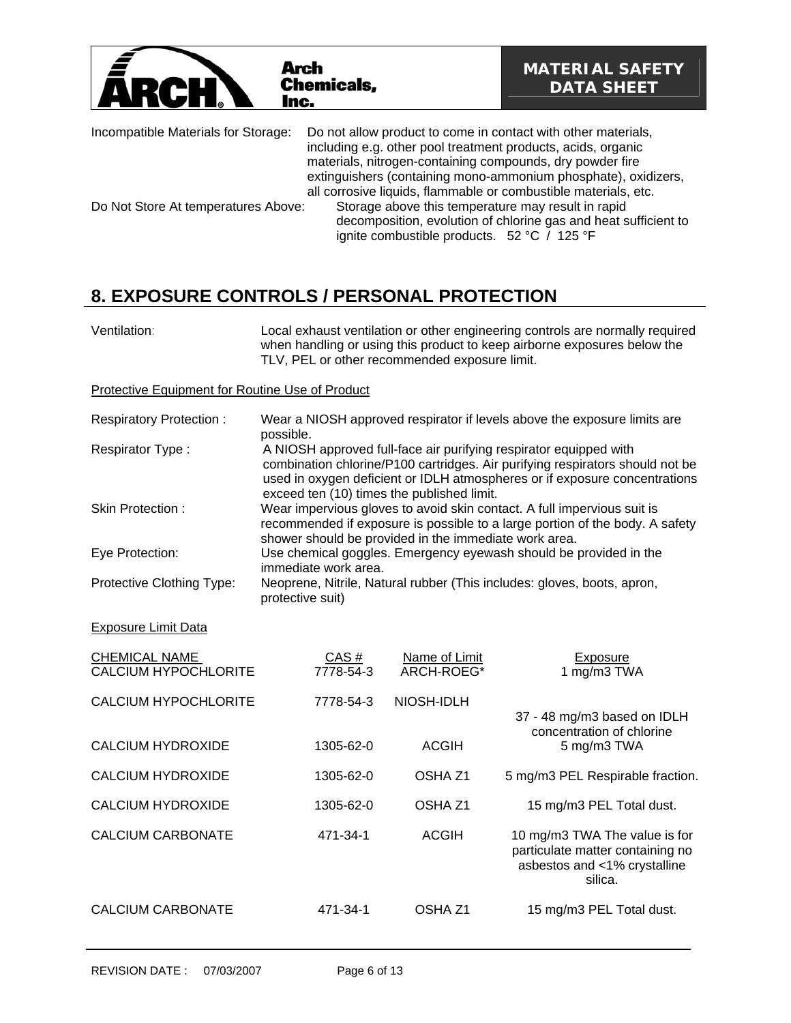| Arch<br>ARC<br>Inc.                 | <b>Chemicals,</b>                                                                                                                                                                                                                                                                                                               | <b>MATERIAL SAFETY</b><br><b>DATA SHEET</b>                     |
|-------------------------------------|---------------------------------------------------------------------------------------------------------------------------------------------------------------------------------------------------------------------------------------------------------------------------------------------------------------------------------|-----------------------------------------------------------------|
| Incompatible Materials for Storage: | Do not allow product to come in contact with other materials,<br>including e.g. other pool treatment products, acids, organic<br>materials, nitrogen-containing compounds, dry powder fire<br>extinguishers (containing mono-ammonium phosphate), oxidizers,<br>all corrosive liquids, flammable or combustible materials, etc. |                                                                 |
| Do Not Store At temperatures Above: | Storage above this temperature may result in rapid<br>ignite combustible products. 52 °C / 125 °F                                                                                                                                                                                                                               | decomposition, evolution of chlorine gas and heat sufficient to |

# **8. EXPOSURE CONTROLS / PERSONAL PROTECTION**

| Ventilation:                                    | Local exhaust ventilation or other engineering controls are normally required<br>when handling or using this product to keep airborne exposures below the<br>TLV, PEL or other recommended exposure limit.                                                                     |
|-------------------------------------------------|--------------------------------------------------------------------------------------------------------------------------------------------------------------------------------------------------------------------------------------------------------------------------------|
| Protective Equipment for Routine Use of Product |                                                                                                                                                                                                                                                                                |
| <b>Respiratory Protection:</b>                  | Wear a NIOSH approved respirator if levels above the exposure limits are<br>possible.                                                                                                                                                                                          |
| Respirator Type:                                | A NIOSH approved full-face air purifying respirator equipped with<br>combination chlorine/P100 cartridges. Air purifying respirators should not be<br>used in oxygen deficient or IDLH atmospheres or if exposure concentrations<br>exceed ten (10) times the published limit. |
| Skin Protection:                                | Wear impervious gloves to avoid skin contact. A full impervious suit is<br>recommended if exposure is possible to a large portion of the body. A safety<br>shower should be provided in the immediate work area.                                                               |
| Eye Protection:                                 | Use chemical goggles. Emergency eyewash should be provided in the<br>immediate work area.                                                                                                                                                                                      |
| Protective Clothing Type:                       | Neoprene, Nitrile, Natural rubber (This includes: gloves, boots, apron,<br>protective suit)                                                                                                                                                                                    |

### Exposure Limit Data

| CHEMICAL NAME<br><b>CALCIUM HYPOCHLORITE</b> | CAS#<br>7778-54-3 | Name of Limit<br>ARCH-ROEG* | Exposure<br>1 mg/m3 TWA                                                                                      |
|----------------------------------------------|-------------------|-----------------------------|--------------------------------------------------------------------------------------------------------------|
| CALCIUM HYPOCHLORITE                         | 7778-54-3         | NIOSH-IDLH                  | 37 - 48 mg/m3 based on IDLH<br>concentration of chlorine                                                     |
| <b>CALCIUM HYDROXIDE</b>                     | 1305-62-0         | <b>ACGIH</b>                | 5 mg/m3 TWA                                                                                                  |
| <b>CALCIUM HYDROXIDE</b>                     | 1305-62-0         | OSHA <sub>Z1</sub>          | 5 mg/m3 PEL Respirable fraction.                                                                             |
| <b>CALCIUM HYDROXIDE</b>                     | 1305-62-0         | OSHA <sub>Z1</sub>          | 15 mg/m3 PEL Total dust.                                                                                     |
| <b>CALCIUM CARBONATE</b>                     | 471-34-1          | <b>ACGIH</b>                | 10 mg/m3 TWA The value is for<br>particulate matter containing no<br>asbestos and <1% crystalline<br>silica. |
| <b>CALCIUM CARBONATE</b>                     | 471-34-1          | OSHA Z1                     | 15 mg/m3 PEL Total dust.                                                                                     |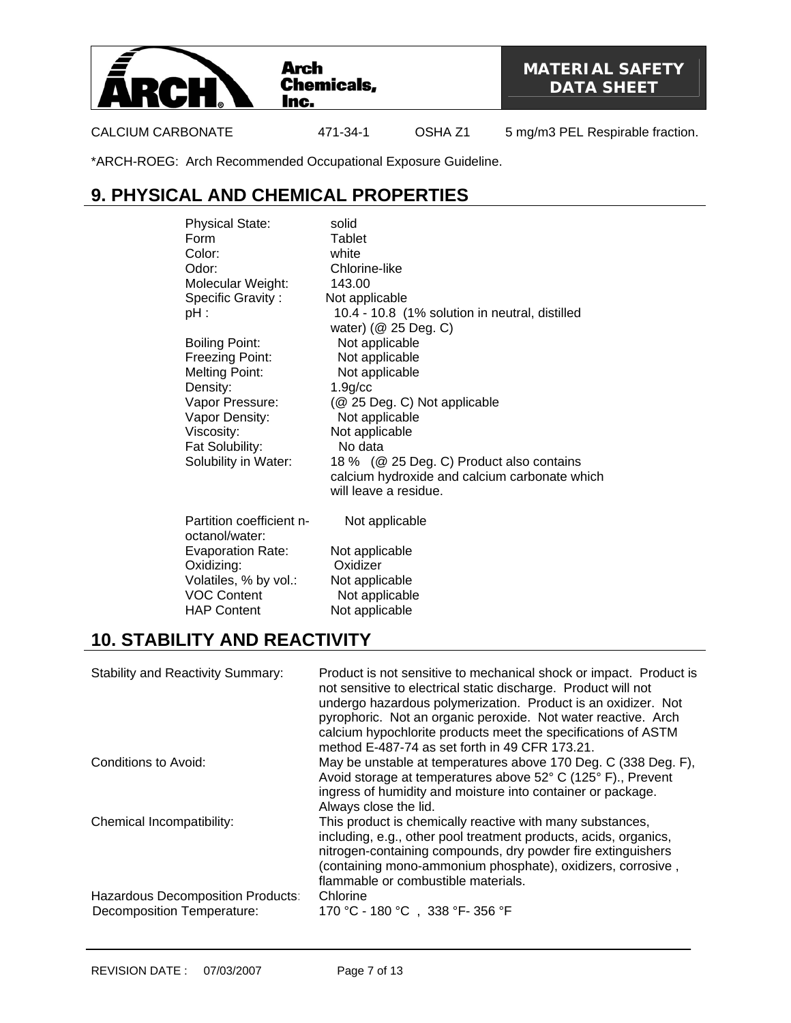

CALCIUM CARBONATE 471-34-1 OSHA Z1 5 mg/m3 PEL Respirable fraction.

\*ARCH-ROEG: Arch Recommended Occupational Exposure Guideline.

# **9. PHYSICAL AND CHEMICAL PROPERTIES**

| <b>Physical State:</b><br>Form             | solid<br>Tablet                                                        |
|--------------------------------------------|------------------------------------------------------------------------|
| Color:                                     | white                                                                  |
| Odor:                                      | Chlorine-like                                                          |
| Molecular Weight:                          | 143.00                                                                 |
| Specific Gravity:                          | Not applicable                                                         |
| pH :                                       | 10.4 - 10.8 (1% solution in neutral, distilled                         |
|                                            | water) (@ 25 Deg. C)                                                   |
| <b>Boiling Point:</b>                      | Not applicable                                                         |
| Freezing Point:                            | Not applicable                                                         |
| <b>Melting Point:</b>                      | Not applicable                                                         |
| Density:                                   | 1.9 <sub>g</sub> /cc                                                   |
| Vapor Pressure:                            | (@ 25 Deg. C) Not applicable                                           |
| Vapor Density:                             | Not applicable                                                         |
| Viscosity:                                 | Not applicable                                                         |
| Fat Solubility:                            | No data                                                                |
| Solubility in Water:                       | 18 % (@ 25 Deg. C) Product also contains                               |
|                                            | calcium hydroxide and calcium carbonate which<br>will leave a residue. |
|                                            |                                                                        |
| Partition coefficient n-<br>octanol/water: | Not applicable                                                         |
| <b>Evaporation Rate:</b>                   | Not applicable                                                         |
| Oxidizing:                                 | Oxidizer                                                               |
| Volatiles, % by vol.:                      | Not applicable                                                         |
| <b>VOC Content</b>                         | Not applicable                                                         |
| <b>HAP Content</b>                         | Not applicable                                                         |

## **10. STABILITY AND REACTIVITY**

| <b>Stability and Reactivity Summary:</b>                               | Product is not sensitive to mechanical shock or impact. Product is<br>not sensitive to electrical static discharge. Product will not<br>undergo hazardous polymerization. Product is an oxidizer. Not<br>pyrophoric. Not an organic peroxide. Not water reactive. Arch<br>calcium hypochlorite products meet the specifications of ASTM<br>method E-487-74 as set forth in 49 CFR 173.21. |
|------------------------------------------------------------------------|-------------------------------------------------------------------------------------------------------------------------------------------------------------------------------------------------------------------------------------------------------------------------------------------------------------------------------------------------------------------------------------------|
| Conditions to Avoid:                                                   | May be unstable at temperatures above 170 Deg. C (338 Deg. F),<br>Avoid storage at temperatures above 52° C (125° F)., Prevent<br>ingress of humidity and moisture into container or package.<br>Always close the lid.                                                                                                                                                                    |
| Chemical Incompatibility:                                              | This product is chemically reactive with many substances,<br>including, e.g., other pool treatment products, acids, organics,<br>nitrogen-containing compounds, dry powder fire extinguishers<br>(containing mono-ammonium phosphate), oxidizers, corrosive,<br>flammable or combustible materials.                                                                                       |
| Hazardous Decomposition Products:<br><b>Decomposition Temperature:</b> | Chlorine<br>170 °C - 180 °C, 338 °F-356 °F                                                                                                                                                                                                                                                                                                                                                |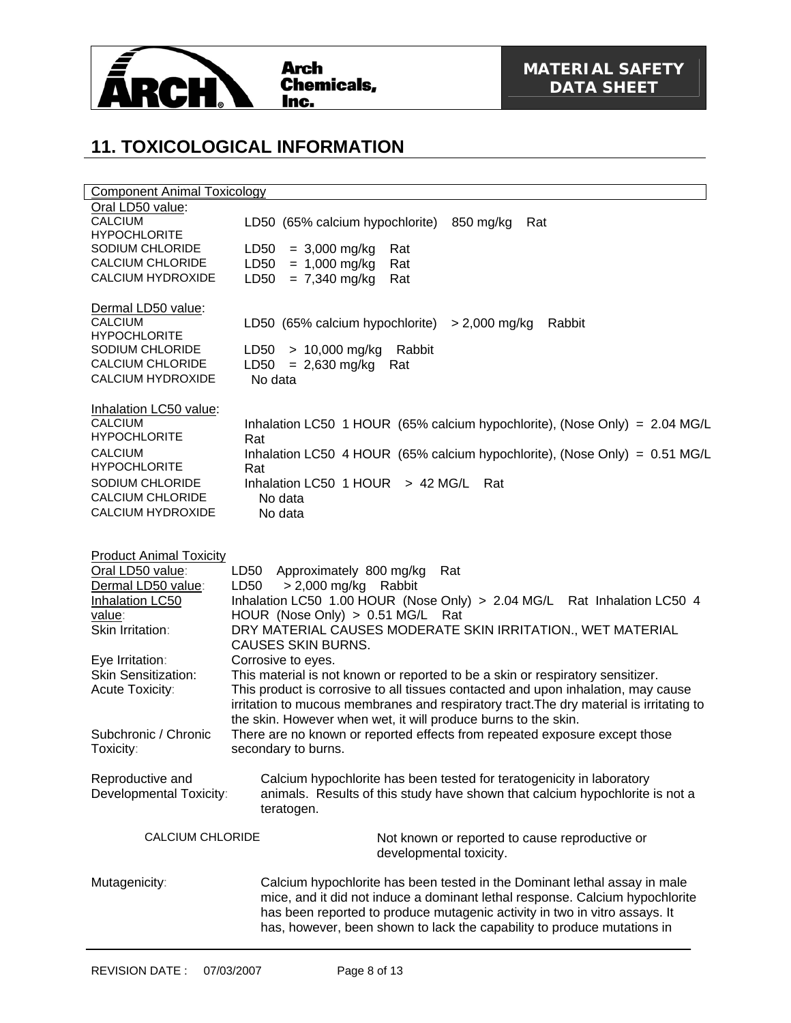

# **11. TOXICOLOGICAL INFORMATION**

| <b>Component Animal Toxicology</b>                                                                                                                                                 |                                                                                                                                                                                                                                                                                                                                                                                             |  |
|------------------------------------------------------------------------------------------------------------------------------------------------------------------------------------|---------------------------------------------------------------------------------------------------------------------------------------------------------------------------------------------------------------------------------------------------------------------------------------------------------------------------------------------------------------------------------------------|--|
| Oral LD50 value:<br><b>CALCIUM</b><br><b>HYPOCHLORITE</b>                                                                                                                          | LD50 (65% calcium hypochlorite)<br>850 mg/kg<br>Rat                                                                                                                                                                                                                                                                                                                                         |  |
| SODIUM CHLORIDE<br><b>CALCIUM CHLORIDE</b><br>CALCIUM HYDROXIDE                                                                                                                    | $= 3,000$ mg/kg<br>LD <sub>50</sub><br>Rat<br>$= 1,000$ mg/kg<br>LD50<br>Rat<br>$= 7,340$ mg/kg<br>LD50<br>Rat                                                                                                                                                                                                                                                                              |  |
| Dermal LD50 value:<br><b>CALCIUM</b><br><b>HYPOCHLORITE</b><br>SODIUM CHLORIDE<br><b>CALCIUM CHLORIDE</b><br>CALCIUM HYDROXIDE                                                     | LD50 (65% calcium hypochlorite)<br>> 2,000 mg/kg<br>Rabbit<br>$> 10,000$ mg/kg<br>Rabbit<br>LD <sub>50</sub><br>LD50<br>$= 2,630$ mg/kg<br>Rat<br>No data                                                                                                                                                                                                                                   |  |
| Inhalation LC50 value:<br><b>CALCIUM</b><br><b>HYPOCHLORITE</b><br><b>CALCIUM</b><br><b>HYPOCHLORITE</b><br>SODIUM CHLORIDE<br><b>CALCIUM CHLORIDE</b><br><b>CALCIUM HYDROXIDE</b> | Inhalation LC50 1 HOUR (65% calcium hypochlorite), (Nose Only) = 2.04 MG/L<br>Rat<br>Inhalation LC50 4 HOUR (65% calcium hypochlorite), (Nose Only) = 0.51 MG/L<br>Rat<br>Inhalation LC50 $1$ HOUR > 42 MG/L<br>Rat<br>No data<br>No data                                                                                                                                                   |  |
| <b>Product Animal Toxicity</b><br>Oral LD50 value:<br>Dermal LD50 value:<br><b>Inhalation LC50</b><br>value:<br>Skin Irritation:<br>Eye Irritation:<br>Skin Sensitization:         | LD50 Approximately 800 mg/kg<br>Rat<br>$> 2,000$ mg/kg Rabbit<br>LD50<br>Inhalation LC50 1.00 HOUR (Nose Only) > 2.04 MG/L Rat Inhalation LC50 4<br>HOUR (Nose Only) > 0.51 MG/L<br>Rat<br>DRY MATERIAL CAUSES MODERATE SKIN IRRITATION., WET MATERIAL<br><b>CAUSES SKIN BURNS.</b><br>Corrosive to eyes.<br>This material is not known or reported to be a skin or respiratory sensitizer. |  |
| Acute Toxicity:<br>Subchronic / Chronic<br>Toxicity:                                                                                                                               | This product is corrosive to all tissues contacted and upon inhalation, may cause<br>irritation to mucous membranes and respiratory tract. The dry material is irritating to<br>the skin. However when wet, it will produce burns to the skin.<br>There are no known or reported effects from repeated exposure except those<br>secondary to burns.                                         |  |
| Reproductive and<br>Developmental Toxicity:                                                                                                                                        | Calcium hypochlorite has been tested for teratogenicity in laboratory<br>animals. Results of this study have shown that calcium hypochlorite is not a<br>teratogen.                                                                                                                                                                                                                         |  |
| <b>CALCIUM CHLORIDE</b>                                                                                                                                                            | Not known or reported to cause reproductive or<br>developmental toxicity.                                                                                                                                                                                                                                                                                                                   |  |
| Mutagenicity:                                                                                                                                                                      | Calcium hypochlorite has been tested in the Dominant lethal assay in male<br>mice, and it did not induce a dominant lethal response. Calcium hypochlorite<br>has been reported to produce mutagenic activity in two in vitro assays. It<br>has, however, been shown to lack the capability to produce mutations in                                                                          |  |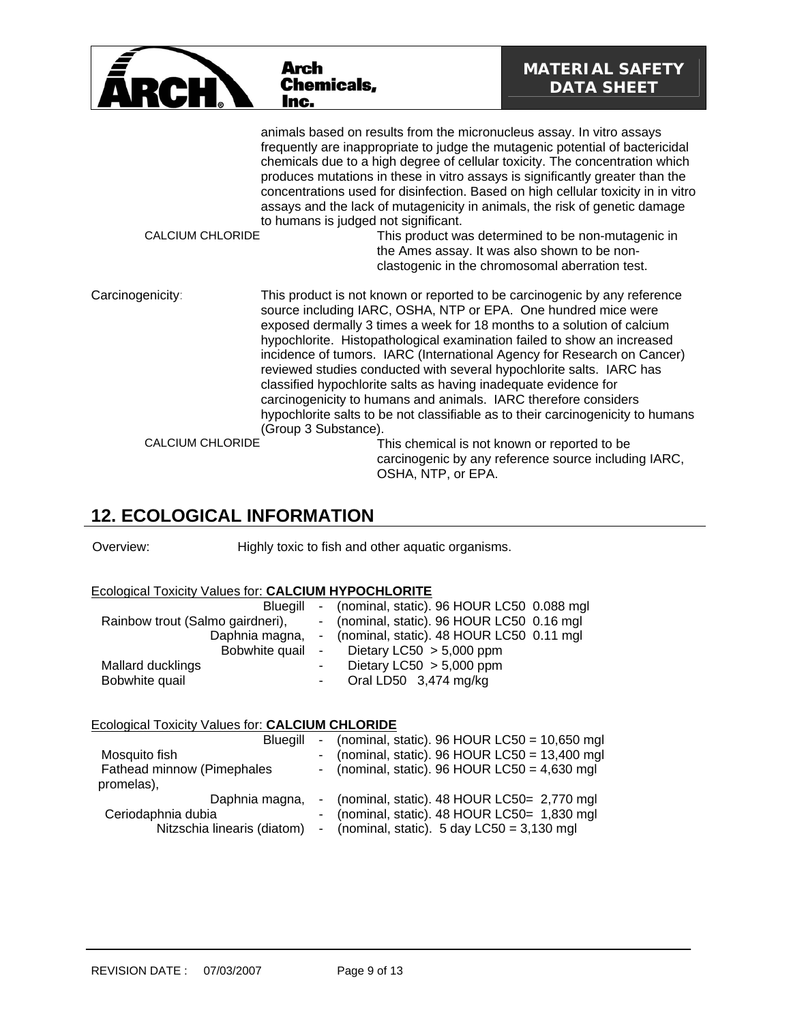|                         | Arch<br><b>Chemicals,</b><br>Inc.                                                                                                                                                                                                                                                                                                                                                                                                                                                                                                                                                                                                                                                                    | <b>MATERIAL SAFETY</b><br><b>DATA SHEET</b>                                                                                                           |
|-------------------------|------------------------------------------------------------------------------------------------------------------------------------------------------------------------------------------------------------------------------------------------------------------------------------------------------------------------------------------------------------------------------------------------------------------------------------------------------------------------------------------------------------------------------------------------------------------------------------------------------------------------------------------------------------------------------------------------------|-------------------------------------------------------------------------------------------------------------------------------------------------------|
| <b>CALCIUM CHLORIDE</b> | animals based on results from the micronucleus assay. In vitro assays<br>frequently are inappropriate to judge the mutagenic potential of bactericidal<br>chemicals due to a high degree of cellular toxicity. The concentration which<br>produces mutations in these in vitro assays is significantly greater than the<br>concentrations used for disinfection. Based on high cellular toxicity in in vitro<br>assays and the lack of mutagenicity in animals, the risk of genetic damage<br>to humans is judged not significant.                                                                                                                                                                   | This product was determined to be non-mutagenic in<br>the Ames assay. It was also shown to be non-<br>clastogenic in the chromosomal aberration test. |
| Carcinogenicity:        | This product is not known or reported to be carcinogenic by any reference<br>source including IARC, OSHA, NTP or EPA. One hundred mice were<br>exposed dermally 3 times a week for 18 months to a solution of calcium<br>hypochlorite. Histopathological examination failed to show an increased<br>incidence of tumors. IARC (International Agency for Research on Cancer)<br>reviewed studies conducted with several hypochlorite salts. IARC has<br>classified hypochlorite salts as having inadequate evidence for<br>carcinogenicity to humans and animals. IARC therefore considers<br>hypochlorite salts to be not classifiable as to their carcinogenicity to humans<br>(Group 3 Substance). |                                                                                                                                                       |
| <b>CALCIUM CHLORIDE</b> | OSHA, NTP, or EPA.                                                                                                                                                                                                                                                                                                                                                                                                                                                                                                                                                                                                                                                                                   | This chemical is not known or reported to be<br>carcinogenic by any reference source including IARC,                                                  |

## **12. ECOLOGICAL INFORMATION**

Overview: Highly toxic to fish and other aquatic organisms.

## Ecological Toxicity Values for: **CALCIUM HYPOCHLORITE**

| Blueaill                         | - (nominal, static). 96 HOUR LC50 0.088 mgl |
|----------------------------------|---------------------------------------------|
| Rainbow trout (Salmo gairdneri), | - (nominal, static). 96 HOUR LC50 0.16 mgl  |
| Daphnia magna,                   | - (nominal, static). 48 HOUR LC50 0.11 mgl  |
| Bobwhite quail                   | - Dietary LC50 $>$ 5,000 ppm                |
| Mallard ducklings                | Dietary LC50 $>$ 5,000 ppm                  |
| Bobwhite quail                   | Oral LD50 3,474 mg/kg                       |

## Ecological Toxicity Values for: **CALCIUM CHLORIDE**

| Blueaill                                 | - (nominal, static). $96$ HOUR LC50 = 10,650 mgl       |
|------------------------------------------|--------------------------------------------------------|
| Mosquito fish                            | - (nominal, static). 96 HOUR LC50 = $13,400$ mgl       |
| Fathead minnow (Pimephales<br>promelas), | - (nominal, static). 96 HOUR LC50 = $4,630$ mgl        |
| Daphnia magna,                           | - (nominal, static). 48 HOUR LC50= 2,770 mgl           |
| Ceriodaphnia dubia                       | - (nominal, static). 48 HOUR LC50= 1,830 mgl           |
| Nitzschia linearis (diatom)              | - (nominal, static). $5 \text{ day }$ LC50 = 3,130 mgl |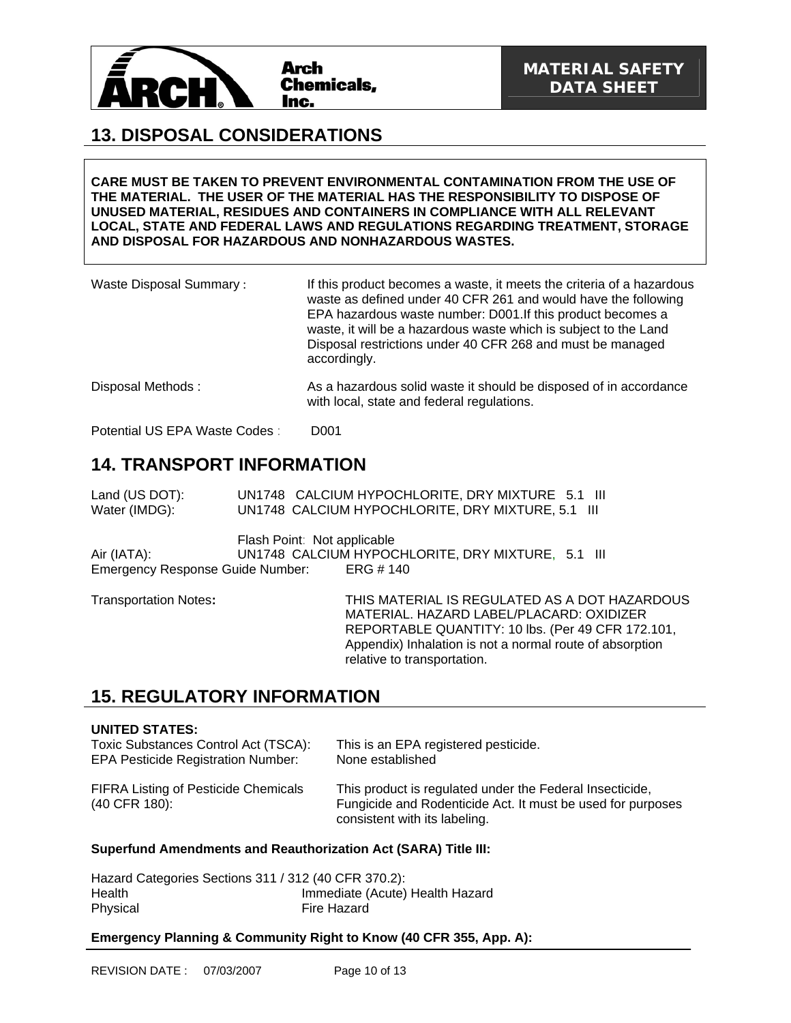

## **13. DISPOSAL CONSIDERATIONS**

**CARE MUST BE TAKEN TO PREVENT ENVIRONMENTAL CONTAMINATION FROM THE USE OF THE MATERIAL. THE USER OF THE MATERIAL HAS THE RESPONSIBILITY TO DISPOSE OF UNUSED MATERIAL, RESIDUES AND CONTAINERS IN COMPLIANCE WITH ALL RELEVANT LOCAL, STATE AND FEDERAL LAWS AND REGULATIONS REGARDING TREATMENT, STORAGE AND DISPOSAL FOR HAZARDOUS AND NONHAZARDOUS WASTES.** 

| <b>Waste Disposal Summary:</b> | If this product becomes a waste, it meets the criteria of a hazardous<br>waste as defined under 40 CFR 261 and would have the following<br>EPA hazardous waste number: D001. If this product becomes a<br>waste, it will be a hazardous waste which is subject to the Land<br>Disposal restrictions under 40 CFR 268 and must be managed<br>accordingly. |
|--------------------------------|----------------------------------------------------------------------------------------------------------------------------------------------------------------------------------------------------------------------------------------------------------------------------------------------------------------------------------------------------------|
| Disposal Methods:              | As a hazardous solid waste it should be disposed of in accordance<br>with local, state and federal regulations.                                                                                                                                                                                                                                          |

Potential US EPA Waste Codes : D001

## **14. TRANSPORT INFORMATION**

Land (US DOT): UN1748 CALCIUM HYPOCHLORITE, DRY MIXTURE 5.1 III Water (IMDG): UN1748 CALCIUM HYPOCHLORITE, DRY MIXTURE, 5.1 III

Flash Point: Not applicable Air (IATA): UN1748 CALCIUM HYPOCHLORITE, DRY MIXTURE, 5.1 III Emergency Response Guide Number: ERG # 140

Transportation Notes**:** THIS MATERIAL IS REGULATED AS A DOT HAZARDOUS MATERIAL. HAZARD LABEL/PLACARD: OXIDIZER REPORTABLE QUANTITY: 10 lbs. (Per 49 CFR 172.101, Appendix) Inhalation is not a normal route of absorption relative to transportation.

## **15. REGULATORY INFORMATION**

### **UNITED STATES:**

Toxic Substances Control Act (TSCA): This is an EPA registered pesticide. EPA Pesticide Registration Number: None established

FIFRA Listing of Pesticide Chemicals (40 CFR 180):

This product is regulated under the Federal Insecticide, Fungicide and Rodenticide Act. It must be used for purposes consistent with its labeling.

### **Superfund Amendments and Reauthorization Act (SARA) Title III:**

| Hazard Categories Sections 311 / 312 (40 CFR 370.2): |                                 |
|------------------------------------------------------|---------------------------------|
| Health                                               | Immediate (Acute) Health Hazard |
| Physical                                             | Fire Hazard                     |

### **Emergency Planning & Community Right to Know (40 CFR 355, App. A):**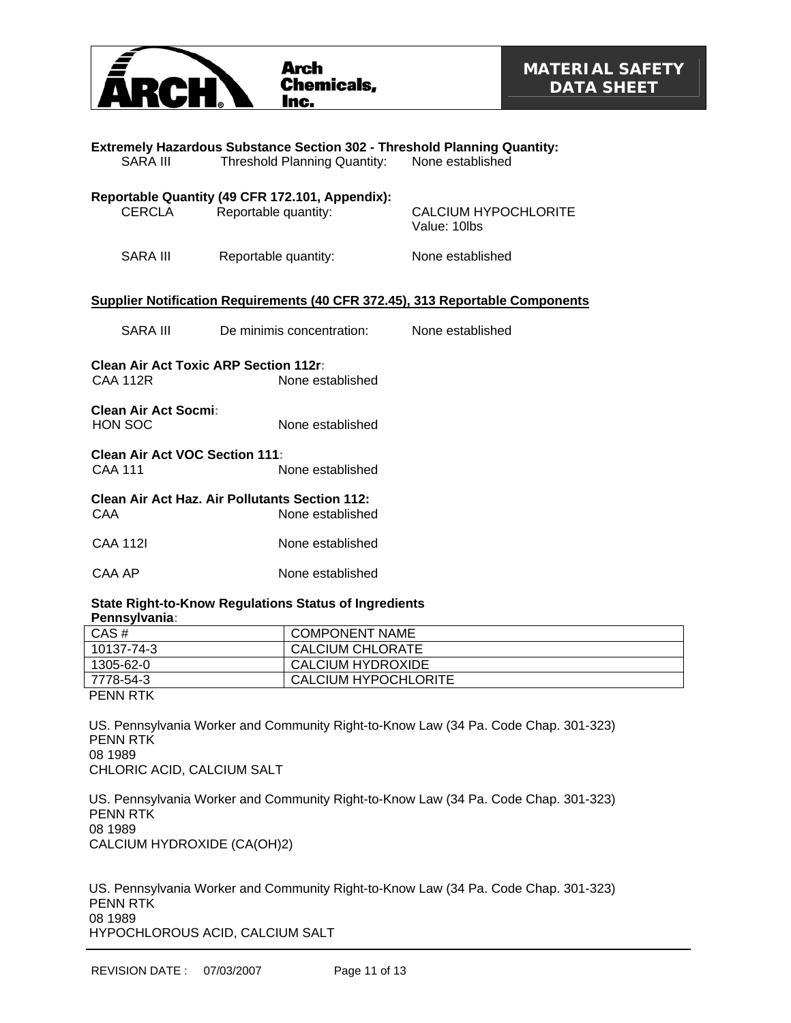

| SARA III                                                                            | <b>Extremely Hazardous Substance Section 302 - Threshold Planning Quantity:</b><br><b>Threshold Planning Quantity:</b> | None established                     |  |
|-------------------------------------------------------------------------------------|------------------------------------------------------------------------------------------------------------------------|--------------------------------------|--|
| <b>CERCLA</b>                                                                       | Reportable Quantity (49 CFR 172.101, Appendix):<br>Reportable quantity:                                                | CALCIUM HYPOCHLORITE<br>Value: 10lbs |  |
| <b>SARA III</b>                                                                     | Reportable quantity:                                                                                                   | None established                     |  |
|                                                                                     | <b>Supplier Notification Requirements (40 CFR 372.45), 313 Reportable Components</b>                                   |                                      |  |
| SARA III                                                                            | De minimis concentration:                                                                                              | None established                     |  |
| <b>Clean Air Act Toxic ARP Section 112r:</b><br><b>CAA 112R</b><br>None established |                                                                                                                        |                                      |  |
| Clean Air Act Socmi:<br>HON SOC                                                     | None established                                                                                                       |                                      |  |
| <b>Clean Air Act VOC Section 111:</b><br><b>CAA 111</b><br>None established         |                                                                                                                        |                                      |  |
| CAA                                                                                 | Clean Air Act Haz. Air Pollutants Section 112:<br>None established                                                     |                                      |  |
| <b>CAA 112I</b>                                                                     | None established                                                                                                       |                                      |  |
| CAA AP                                                                              | None established                                                                                                       |                                      |  |
|                                                                                     |                                                                                                                        |                                      |  |

### **State Right-to-Know Regulations Status of Ingredients Pennsylvania:**

| $CAS \#$       | <b>COMPONENT NAME</b> |
|----------------|-----------------------|
| 10137-74-3     | CALCIUM CHLORATE      |
| 1305-62-0      | CALCIUM HYDROXIDE     |
| 7778-54-3      | CALCIUM HYPOCHLORITE  |
| <b>BEILDER</b> |                       |

PENN RTK

US. Pennsylvania Worker and Community Right-to-Know Law (34 Pa. Code Chap. 301-323) PENN RTK 08 1989 CHLORIC ACID, CALCIUM SALT

US. Pennsylvania Worker and Community Right-to-Know Law (34 Pa. Code Chap. 301-323) PENN RTK 08 1989 CALCIUM HYDROXIDE (CA(OH)2)

US. Pennsylvania Worker and Community Right-to-Know Law (34 Pa. Code Chap. 301-323) PENN RTK 08 1989 HYPOCHLOROUS ACID, CALCIUM SALT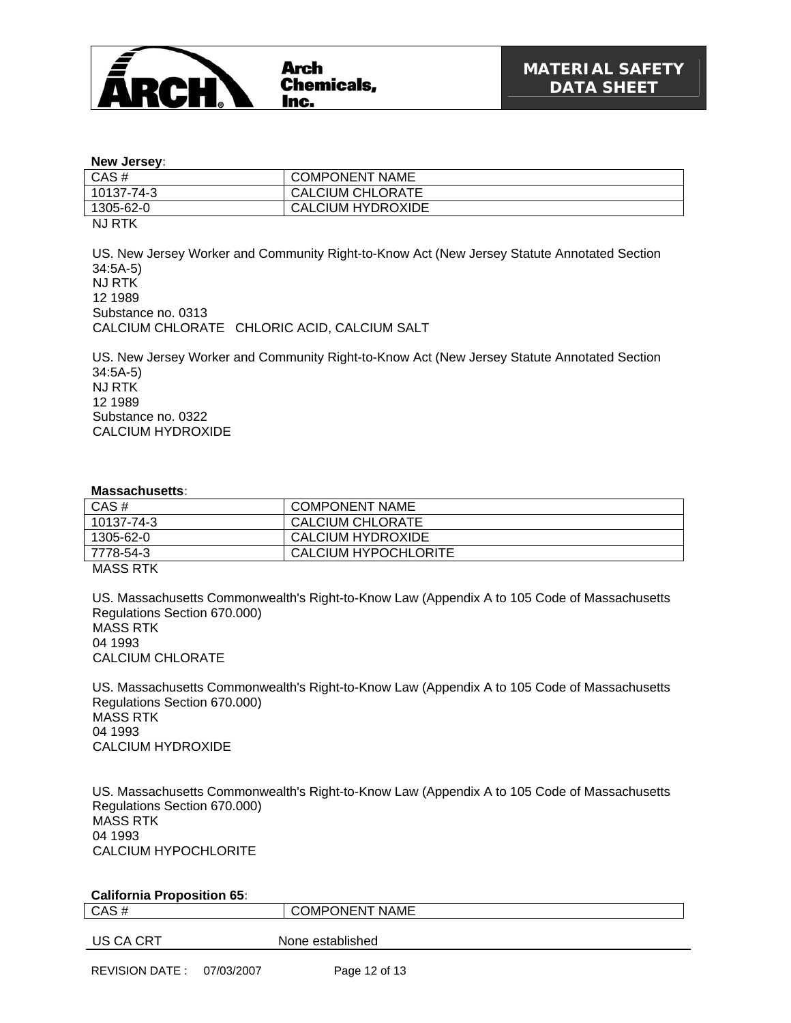

#### **New Jersey:**

| CAS#        | <b>COMPONENT NAME</b> |
|-------------|-----------------------|
| 10137-74-3  | CALCIUM CHLORATE      |
| 1305-62-0   | CALCIUM HYDROXIDE     |
| $N + D T Z$ |                       |

NJ RTK

US. New Jersey Worker and Community Right-to-Know Act (New Jersey Statute Annotated Section 34:5A-5) NJ RTK 12 1989 Substance no. 0313 CALCIUM CHLORATE CHLORIC ACID, CALCIUM SALT

US. New Jersey Worker and Community Right-to-Know Act (New Jersey Statute Annotated Section 34:5A-5) NJ RTK 12 1989 Substance no. 0322 CALCIUM HYDROXIDE

#### **Massachusetts:**

| CAS#       | <b>COMPONENT NAME</b> |  |
|------------|-----------------------|--|
| 10137-74-3 | CALCIUM CHLORATE      |  |
| 1305-62-0  | CALCIUM HYDROXIDE     |  |
| 7778-54-3  | CALCIUM HYPOCHLORITE  |  |
| MACC DTK   |                       |  |

MASS RTK

US. Massachusetts Commonwealth's Right-to-Know Law (Appendix A to 105 Code of Massachusetts Regulations Section 670.000) MASS RTK 04 1993 CALCIUM CHLORATE

US. Massachusetts Commonwealth's Right-to-Know Law (Appendix A to 105 Code of Massachusetts Regulations Section 670.000) MASS RTK 04 1993 CALCIUM HYDROXIDE

US. Massachusetts Commonwealth's Right-to-Know Law (Appendix A to 105 Code of Massachusetts Regulations Section 670.000) MASS RTK 04 1993 CALCIUM HYPOCHLORITE

| <b>California Proposition 65:</b> |                       |  |  |
|-----------------------------------|-----------------------|--|--|
| CAS#                              | <b>COMPONENT NAME</b> |  |  |
|                                   |                       |  |  |
| US CA CRT                         | None established      |  |  |
|                                   |                       |  |  |